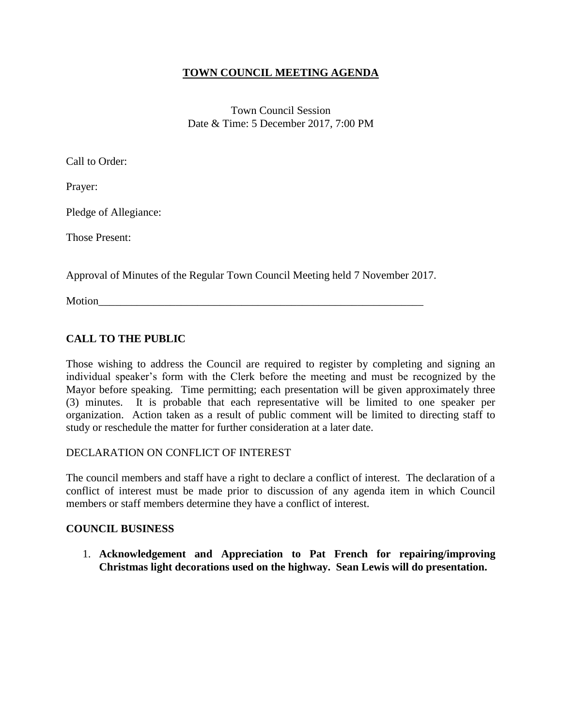## **TOWN COUNCIL MEETING AGENDA**

Town Council Session Date & Time: 5 December 2017, 7:00 PM

Call to Order:

Prayer:

Pledge of Allegiance:

Those Present:

Approval of Minutes of the Regular Town Council Meeting held 7 November 2017.

Motion

# **CALL TO THE PUBLIC**

Those wishing to address the Council are required to register by completing and signing an individual speaker's form with the Clerk before the meeting and must be recognized by the Mayor before speaking. Time permitting; each presentation will be given approximately three (3) minutes. It is probable that each representative will be limited to one speaker per organization. Action taken as a result of public comment will be limited to directing staff to study or reschedule the matter for further consideration at a later date.

## DECLARATION ON CONFLICT OF INTEREST

The council members and staff have a right to declare a conflict of interest. The declaration of a conflict of interest must be made prior to discussion of any agenda item in which Council members or staff members determine they have a conflict of interest.

## **COUNCIL BUSINESS**

1. **Acknowledgement and Appreciation to Pat French for repairing/improving Christmas light decorations used on the highway. Sean Lewis will do presentation.**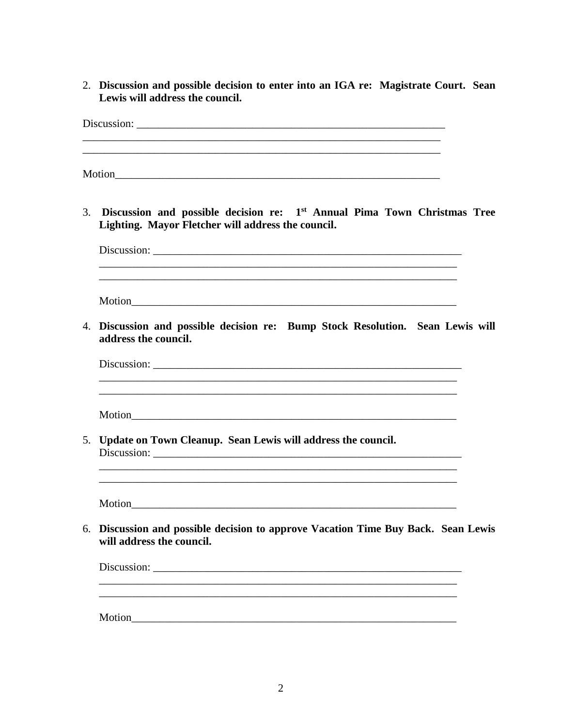2. Discussion and possible decision to enter into an IGA re: Magistrate Court. Sean Lewis will address the council.

3. Discussion and possible decision re: 1<sup>st</sup> Annual Pima Town Christmas Tree Lighting. Mayor Fletcher will address the council. 4. Discussion and possible decision re: Bump Stock Resolution. Sean Lewis will address the council. Discussion: Motion and the set of the set of the set of the set of the set of the set of the set of the set of the set of the set of the set of the set of the set of the set of the set of the set of the set of the set of the set of th 5. Update on Town Cleanup. Sean Lewis will address the council. 6. Discussion and possible decision to approve Vacation Time Buy Back. Sean Lewis will address the council. Discussion: New York Contract the Contract of the Contract of the Contract of the Contract of the Contract of the Contract of the Contract of the Contract of the Contract of the Contract of the Contract of the Contract of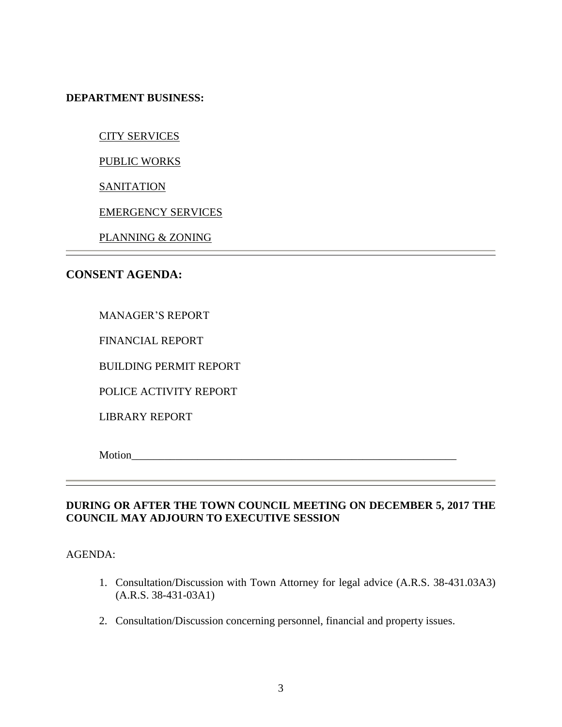**DEPARTMENT BUSINESS:**

CITY SERVICES

PUBLIC WORKS

**SANITATION** 

EMERGENCY SERVICES

PLANNING & ZONING

## **CONSENT AGENDA:**

# MANAGER'S REPORT

FINANCIAL REPORT

BUILDING PERMIT REPORT

POLICE ACTIVITY REPORT

LIBRARY REPORT

Motion

## **DURING OR AFTER THE TOWN COUNCIL MEETING ON DECEMBER 5, 2017 THE COUNCIL MAY ADJOURN TO EXECUTIVE SESSION**

AGENDA:

- 1. Consultation/Discussion with Town Attorney for legal advice (A.R.S. 38-431.03A3) (A.R.S. 38-431-03A1)
- 2. Consultation/Discussion concerning personnel, financial and property issues.